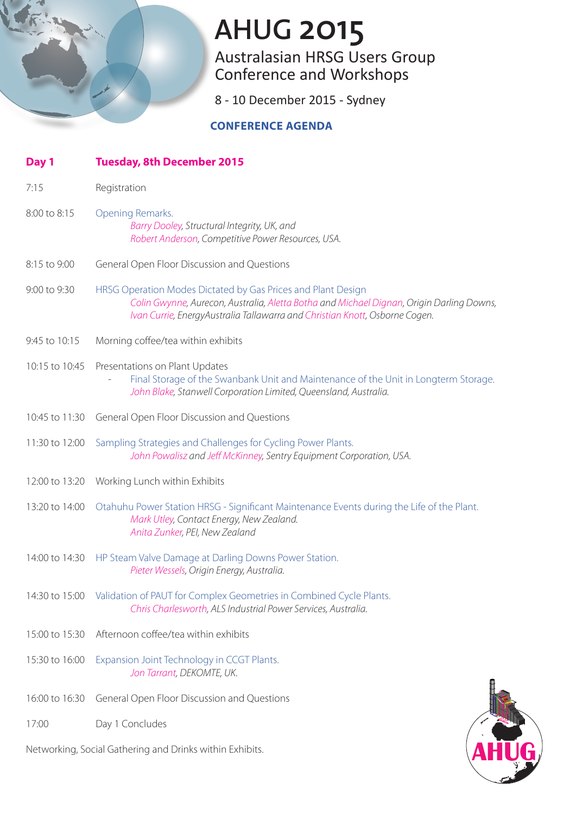Australasian HRSG Users Group Conference and Workshops

8 - 10 December 2015 - Sydney

### **CONFERENCE AGENDA**

| Day 1          | <b>Tuesday, 8th December 2015</b>                                                                                                                                                                                                       |
|----------------|-----------------------------------------------------------------------------------------------------------------------------------------------------------------------------------------------------------------------------------------|
| 7:15           | Registration                                                                                                                                                                                                                            |
| 8:00 to 8:15   | Opening Remarks.<br>Barry Dooley, Structural Integrity, UK, and<br>Robert Anderson, Competitive Power Resources, USA.                                                                                                                   |
| 8:15 to 9:00   | General Open Floor Discussion and Questions                                                                                                                                                                                             |
| 9:00 to 9:30   | HRSG Operation Modes Dictated by Gas Prices and Plant Design<br>Colin Gwynne, Aurecon, Australia, Aletta Botha and Michael Dignan, Origin Darling Downs,<br>Ivan Currie, EnergyAustralia Tallawarra and Christian Knott, Osborne Cogen. |
| 9:45 to 10:15  | Morning coffee/tea within exhibits                                                                                                                                                                                                      |
| 10:15 to 10:45 | Presentations on Plant Updates<br>Final Storage of the Swanbank Unit and Maintenance of the Unit in Longterm Storage.<br>John Blake, Stanwell Corporation Limited, Queensland, Australia.                                               |
| 10:45 to 11:30 | General Open Floor Discussion and Questions                                                                                                                                                                                             |
| 11:30 to 12:00 | Sampling Strategies and Challenges for Cycling Power Plants.<br>John Powalisz and Jeff McKinney, Sentry Equipment Corporation, USA.                                                                                                     |
| 12:00 to 13:20 | Working Lunch within Exhibits                                                                                                                                                                                                           |
| 13:20 to 14:00 | Otahuhu Power Station HRSG - Significant Maintenance Events during the Life of the Plant.<br>Mark Utley, Contact Energy, New Zealand.<br>Anita Zunker, PEI, New Zealand                                                                 |
| 14:00 to 14:30 | HP Steam Valve Damage at Darling Downs Power Station.<br>Pieter Wessels, Origin Energy, Australia.                                                                                                                                      |
| 14:30 to 15:00 | Validation of PAUT for Complex Geometries in Combined Cycle Plants.<br>Chris Charlesworth, ALS Industrial Power Services, Australia.                                                                                                    |
| 15:00 to 15:30 | Afternoon coffee/tea within exhibits                                                                                                                                                                                                    |
| 15:30 to 16:00 | Expansion Joint Technology in CCGT Plants.<br>Jon Tarrant, DEKOMTE, UK.                                                                                                                                                                 |
| 16:00 to 16:30 | General Open Floor Discussion and Questions                                                                                                                                                                                             |
| 17:00          | Day 1 Concludes                                                                                                                                                                                                                         |

Networking, Social Gathering and Drinks within Exhibits.

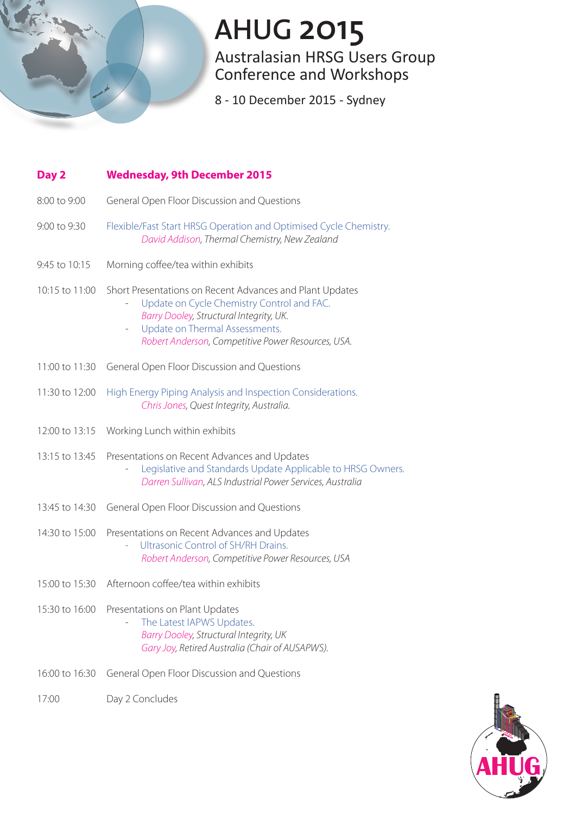

Australasian HRSG Users Group Conference and Workshops

8 - 10 December 2015 - Sydney

| Day 2          | <b>Wednesday, 9th December 2015</b>                                                                                                                                                                                                                                   |
|----------------|-----------------------------------------------------------------------------------------------------------------------------------------------------------------------------------------------------------------------------------------------------------------------|
| 8:00 to 9:00   | General Open Floor Discussion and Questions                                                                                                                                                                                                                           |
| 9:00 to 9:30   | Flexible/Fast Start HRSG Operation and Optimised Cycle Chemistry.<br>David Addison, Thermal Chemistry, New Zealand                                                                                                                                                    |
| 9:45 to 10:15  | Morning coffee/tea within exhibits                                                                                                                                                                                                                                    |
| 10:15 to 11:00 | Short Presentations on Recent Advances and Plant Updates<br>Update on Cycle Chemistry Control and FAC.<br>Barry Dooley, Structural Integrity, UK.<br>Update on Thermal Assessments.<br>$\overline{\phantom{a}}$<br>Robert Anderson, Competitive Power Resources, USA. |
| 11:00 to 11:30 | General Open Floor Discussion and Questions                                                                                                                                                                                                                           |
| 11:30 to 12:00 | High Energy Piping Analysis and Inspection Considerations.<br>Chris Jones, Quest Integrity, Australia.                                                                                                                                                                |
| 12:00 to 13:15 | Working Lunch within exhibits                                                                                                                                                                                                                                         |
| 13:15 to 13:45 | Presentations on Recent Advances and Updates<br>Legislative and Standards Update Applicable to HRSG Owners.<br>Darren Sullivan, ALS Industrial Power Services, Australia                                                                                              |
| 13:45 to 14:30 | General Open Floor Discussion and Questions                                                                                                                                                                                                                           |
| 14:30 to 15:00 | Presentations on Recent Advances and Updates<br>Ultrasonic Control of SH/RH Drains.<br>ä,<br>Robert Anderson, Competitive Power Resources, USA                                                                                                                        |
| 15:00 to 15:30 | Afternoon coffee/tea within exhibits                                                                                                                                                                                                                                  |
| 15:30 to 16:00 | Presentations on Plant Updates<br>The Latest IAPWS Updates.<br>Barry Dooley, Structural Integrity, UK<br>Gary Joy, Retired Australia (Chair of AUSAPWS).                                                                                                              |
| 16:00 to 16:30 | General Open Floor Discussion and Questions                                                                                                                                                                                                                           |
| 17:00          | Day 2 Concludes                                                                                                                                                                                                                                                       |

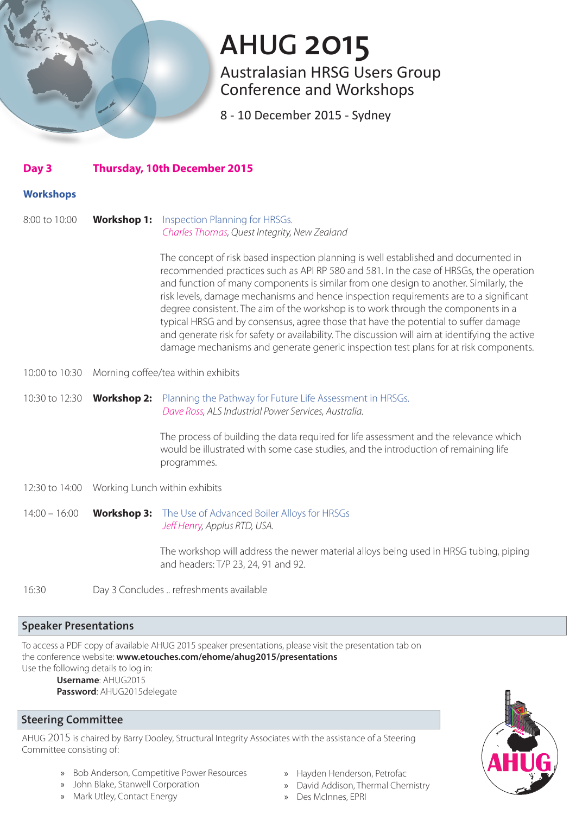Australasian HRSG Users Group Conference and Workshops

8 - 10 December 2015 - Sydney

| Day 3 | <b>Thursday, 10th December 2015</b> |  |
|-------|-------------------------------------|--|
|       |                                     |  |

#### **Workshops**

8:00 to 10:00 **Workshop 1:** Inspection Planning for HRSGs. *Charles Thomas, Quest Integrity, New Zealand*

> The concept of risk based inspection planning is well established and documented in recommended practices such as API RP 580 and 581. In the case of HRSGs, the operation and function of many components is similar from one design to another. Similarly, the risk levels, damage mechanisms and hence inspection requirements are to a significant degree consistent. The aim of the workshop is to work through the components in a typical HRSG and by consensus, agree those that have the potential to suffer damage and generate risk for safety or availability. The discussion will aim at identifying the active damage mechanisms and generate generic inspection test plans for at risk components.

- 10:00 to 10:30 Morning coffee/tea within exhibits
- 10:30 to 12:30 **Workshop 2:** Planning the Pathway for Future Life Assessment in HRSGs. *Dave Ross, ALS Industrial Power Services, Australia.*

The process of building the data required for life assessment and the relevance which would be illustrated with some case studies, and the introduction of remaining life programmes.

- 12:30 to 14:00 Working Lunch within exhibits
- 14:00 16:00 **Workshop 3:** The Use of Advanced Boiler Alloys for HRSGs *Jeff Henry, Applus RTD, USA.*

The workshop will address the newer material alloys being used in HRSG tubing, piping and headers: T/P 23, 24, 91 and 92.

16:30 Day 3 Concludes .. refreshments available

#### **Speaker Presentations**

To access a PDF copy of available AHUG 2015 speaker presentations, please visit the presentation tab on the conference website: **www.etouches.com/ehome/ahug2015/presentations** Use the following details to log in:

**Username**: AHUG2015

**Password**: AHUG2015delegate

### **Steering Committee**

AHUG 2015 is chaired by Barry Dooley, Structural Integrity Associates with the assistance of a Steering Committee consisting of:

- » Bob Anderson, Competitive Power Resources
- » John Blake, Stanwell Corporation
- » Mark Utley, Contact Energy
- » Hayden Henderson, Petrofac
- » David Addison, Thermal Chemistry
- » Des McInnes, EPRI